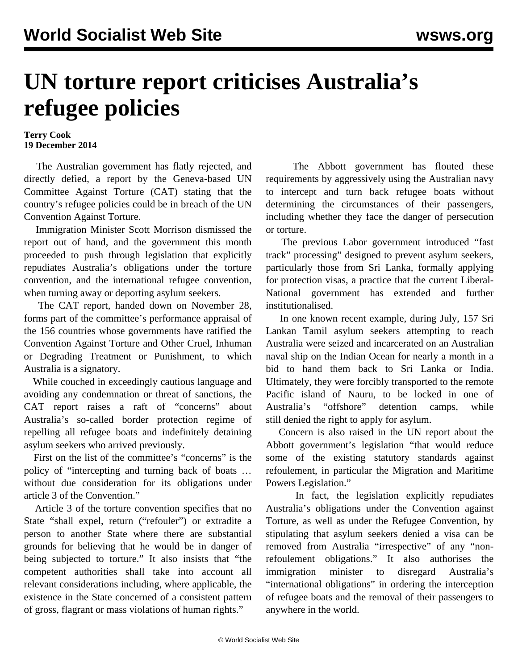## **UN torture report criticises Australia's refugee policies**

## **Terry Cook 19 December 2014**

 The Australian government has flatly rejected, and directly defied, a report by the Geneva-based UN Committee Against Torture (CAT) stating that the country's refugee policies could be in breach of the UN Convention Against Torture.

 Immigration Minister Scott Morrison dismissed the report out of hand, and the government this month proceeded to push through legislation that explicitly repudiates Australia's obligations under the torture convention, and the international refugee convention, when turning away or deporting asylum seekers.

 The CAT report, handed down on November 28, forms part of the committee's performance appraisal of the 156 countries whose governments have ratified the Convention Against Torture and Other Cruel, Inhuman or Degrading Treatment or Punishment, to which Australia is a signatory.

 While couched in exceedingly cautious language and avoiding any condemnation or threat of sanctions, the CAT report raises a raft of "concerns" about Australia's so-called border protection regime of repelling all refugee boats and indefinitely detaining asylum seekers who arrived previously.

 First on the list of the committee's "concerns" is the policy of "intercepting and turning back of boats … without due consideration for its obligations under article 3 of the Convention."

 Article 3 of the torture convention specifies that no State "shall expel, return ("refouler") or extradite a person to another State where there are substantial grounds for believing that he would be in danger of being subjected to torture." It also insists that "the competent authorities shall take into account all relevant considerations including, where applicable, the existence in the State concerned of a consistent pattern of gross, flagrant or mass violations of human rights."

 The Abbott government has flouted these requirements by aggressively using the Australian navy to intercept and turn back refugee boats without determining the circumstances of their passengers, including whether they face the danger of persecution or torture.

 The previous Labor government introduced "fast track" processing" designed to prevent asylum seekers, particularly those from Sri Lanka, formally applying for protection visas, a practice that the current Liberal-National government has extended and further institutionalised.

 In one known recent example, during July, 157 Sri Lankan Tamil asylum seekers attempting to reach Australia were seized and [incarcerated](/en/articles/2014/07/19/aure-j19.html) on an Australian naval ship on the Indian Ocean for nearly a month in a bid to hand them back to Sri Lanka or India. Ultimately, they were forcibly transported to the remote Pacific island of Nauru, to be locked in one of Australia's "offshore" detention camps, while still [denied](/en/articles/2014/07/29/refu-j29.html) the right to apply for asylum.

 Concern is also raised in the UN report about the Abbott government's legislation "that would reduce some of the existing statutory standards against refoulement, in particular the Migration and Maritime Powers Legislation."

 In fact, the [legislation](/en/articles/2014/10/01/refu-o01.html) explicitly repudiates Australia's obligations under the Convention against Torture, as well as under the Refugee Convention, by stipulating that asylum seekers denied a visa can be removed from Australia "irrespective" of any "nonrefoulement obligations." It also authorises the immigration minister to disregard Australia's "international obligations" in ordering the interception of refugee boats and the removal of their passengers to anywhere in the world.